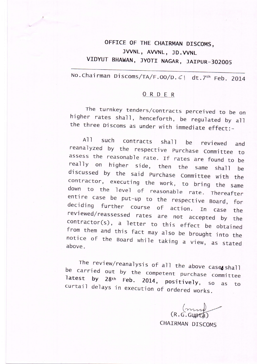## oFFICE OF THE CHATRMAN DTSCOMS, JVVNL, AVVNL, JD.VVNL VIDYUT BHAWAN, JYOTI NAGAR, JAIPUR-302005

No. Chairman Discoms/TA/F.00/D. 6| dt. 7<sup>th</sup> Feb. 2014

## QBDER

rhe turnkey tenders/contracts perceived to be on<br>higher rates shall, henceforth, be regulated by all the three Discoms as under with immediate effect:-

All such contracts shall be reviewed and<br>reanalyzed by the respective Purchase Committee to<br>assess the reasonable rate. If rates are found to be<br>really on higher side, then the same shall be<br>discussed by the said Purchase

The review/reanalysis of all the above case shall<br>be carried out by the competent purchase committee curtail delays in execution of ordered works. latest by  $28th$  Feb. 2014, positively, so as to

 $(mn)$   $(mn)$ 

CHATRMAN DISCOMS